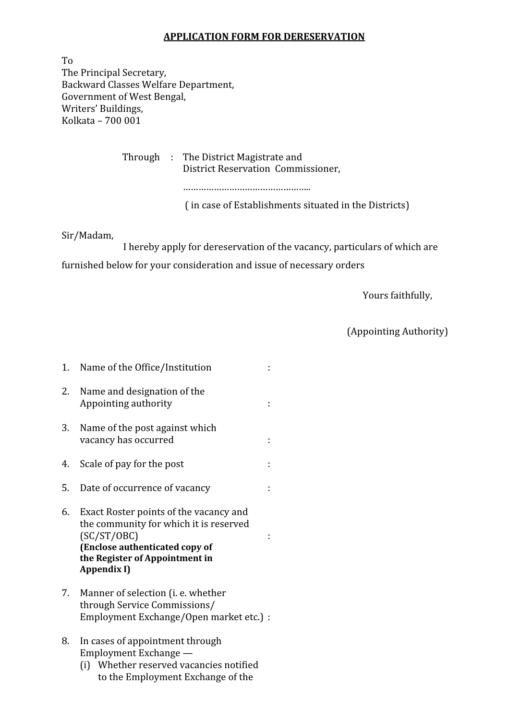## APPLICATION FORM FOR DERESERVATION

To The Principal Secretary, Backward Classes Welfare Department, Government of West Bengal, Writers' Buildings, Kolkata – 700 001

> Through : The District Magistrate and District Reservation Commissioner,

> > …………………………………………..

( in case of Establishments situated in the Districts)

Sir/Madam,

 I hereby apply for dereservation of the vacancy, particulars of which are furnished below for your consideration and issue of necessary orders

Yours faithfully,

(Appointing Authority)

1. Name of the Office/Institution : 2. Name and designation of the Appointing authority in the state of the state of the state of the state of the state of the state of the state of the state of the state of the state of the state of the state of the state of the state of the state of the 3. Name of the post against which vacancy has occurred :  $\cdot$  : 4. Scale of pay for the post : 5. Date of occurrence of vacancy : 6. Exact Roster points of the vacancy and the community for which it is reserved (SC/ST/OBC) : (Enclose authenticated copy of the Register of Appointment in Appendix I) 7. Manner of selection (i. e. whether through Service Commissions/ Employment Exchange/Open market etc.) : 8. In cases of appointment through Employment Exchange — (i) Whether reserved vacancies notified to the Employment Exchange of the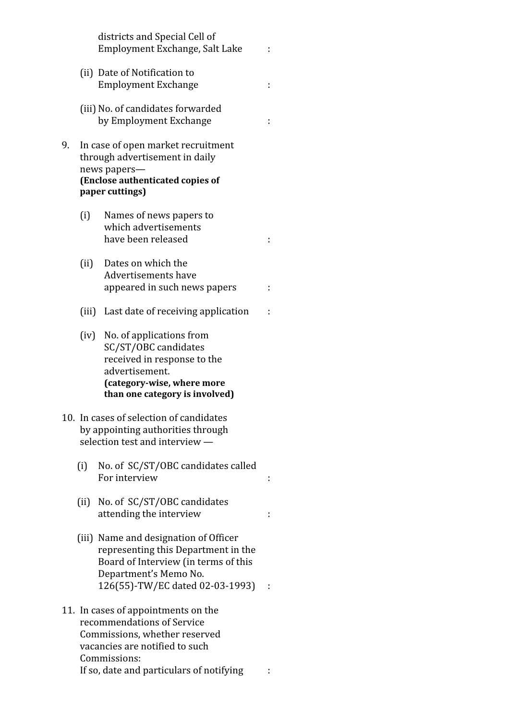districts and Special Cell of Employment Exchange, Salt Lake : (ii) Date of Notification to Employment Exchange : (iii) No. of candidates forwarded by Employment Exchange : 9. In case of open market recruitment through advertisement in daily news papers— (Enclose authenticated copies of paper cuttings) (i) Names of news papers to which advertisements have been released is a set of the set of the set of the set of the set of the set of the set of the set of the set of the set of the set of the set of the set of the set of the set of the set of the set of the set of the (ii) Dates on which the Advertisements have appeared in such news papers : (iii) Last date of receiving application : (iv) No. of applications from SC/ST/OBC candidates received in response to the advertisement. (category-wise, where more than one category is involved) 10. In cases of selection of candidates by appointing authorities through selection test and interview — (i) No. of SC/ST/OBC candidates called For interview  $\qquad \qquad :$ (ii) No. of SC/ST/OBC candidates attending the interview : (iii) Name and designation of Officer representing this Department in the Board of Interview (in terms of this Department's Memo No. 126(55)-TW/EC dated 02-03-1993) : 11. In cases of appointments on the recommendations of Service Commissions, whether reserved vacancies are notified to such Commissions:

If so, date and particulars of notifying :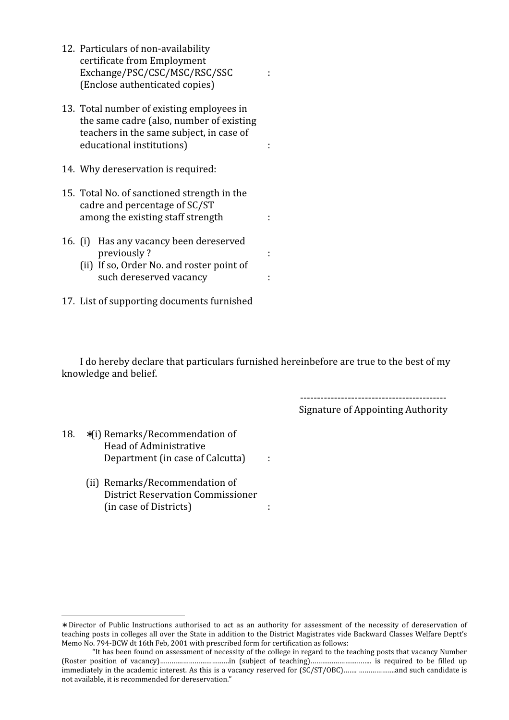- 12. Particulars of non-availability certificate from Employment Exchange/PSC/CSC/MSC/RSC/SSC : (Enclose authenticated copies)
- 13. Total number of existing employees in the same cadre (also, number of existing teachers in the same subject, in case of educational institutions) and intervals of the set of the set of the set of the set of the set of the set of the set of the set of the set of the set of the set of the set of the set of the set of the set of the set of the
- 14. Why dereservation is required:
- 15. Total No. of sanctioned strength in the cadre and percentage of SC/ST among the existing staff strength :
- 16. (i) Has any vacancy been dereserved previously ? The set of the set of the set of the set of the set of the set of the set of the set of the set o
	- (ii) If so, Order No. and roster point of such dereserved vacancy is
- 17. List of supporting documents furnished

 I do hereby declare that particulars furnished hereinbefore are true to the best of my knowledge and belief.

-------------------------------------------

Signature of Appointing Authority

18. ∗(i) Remarks/Recommendation of Head of Administrative Department (in case of Calcutta) :

 $\overline{a}$ 

 (ii) Remarks/Recommendation of District Reservation Commissioner (in case of Districts) :

<sup>∗</sup> Director of Public Instructions authorised to act as an authority for assessment of the necessity of dereservation of teaching posts in colleges all over the State in addition to the District Magistrates vide Backward Classes Welfare Deptt's Memo No. 794-BCW dt 16th Feb, 2001 with prescribed form for certification as follows:

 <sup>&</sup>quot;It has been found on assessment of necessity of the college in regard to the teaching posts that vacancy Number (Roster position of vacancy)………………………………in (subject of teaching)………………………….. is required to be filled up immediately in the academic interest. As this is a vacancy reserved for (SC/ST/OBC)……. ……………….and such candidate is not available, it is recommended for dereservation."